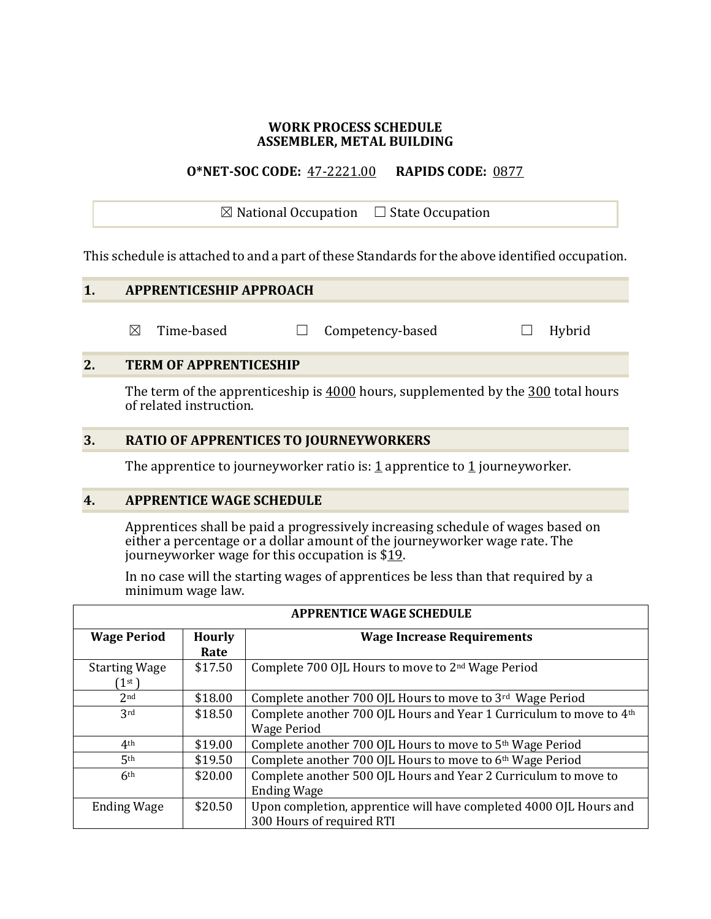#### **WORK PROCESS SCHEDULE ASSEMBLER, METAL BUILDING**

#### **O\*NET-SOC CODE:** 47-2221.00 **RAPIDS CODE:** 0877

 $\boxtimes$  National Occupation  $\Box$  State Occupation

This schedule is attached to and a part of these Standards for the above identified occupation.

### **1. APPRENTICESHIP APPROACH**

☒ Time-based ☐ Competency-based ☐ Hybrid

#### **2. TERM OF APPRENTICESHIP**

The term of the apprenticeship is 4000 hours, supplemented by the 300 total hours of related instruction.

#### **3. RATIO OF APPRENTICES TO JOURNEYWORKERS**

The apprentice to journeyworker ratio is:  $1$  apprentice to  $1$  journeyworker.

#### **4. APPRENTICE WAGE SCHEDULE**

Apprentices shall be paid a progressively increasing schedule of wages based on either a percentage or a dollar amount of the journeyworker wage rate. The journeyworker wage for this occupation is  $$19$ .

In no case will the starting wages of apprentices be less than that required by a minimum wage law.

| <b>Wage Period</b>   | <b>Hourly</b><br><b>Wage Increase Requirements</b> |                                                                     |
|----------------------|----------------------------------------------------|---------------------------------------------------------------------|
|                      |                                                    |                                                                     |
|                      | Rate                                               |                                                                     |
| <b>Starting Wage</b> | \$17.50                                            | Complete 700 OJL Hours to move to 2 <sup>nd</sup> Wage Period       |
| (1 <sup>st</sup> )   |                                                    |                                                                     |
| 2 <sub>nd</sub>      | \$18.00                                            | Complete another 700 OJL Hours to move to 3rd Wage Period           |
| 3rd                  | \$18.50                                            | Complete another 700 OJL Hours and Year 1 Curriculum to move to 4th |
|                      |                                                    | <b>Wage Period</b>                                                  |
| 4 <sup>th</sup>      | \$19.00                                            | Complete another 700 OJL Hours to move to 5th Wage Period           |
| 5 <sup>th</sup>      | \$19.50                                            | Complete another 700 OJL Hours to move to 6th Wage Period           |
| 6 <sup>th</sup>      | \$20.00                                            | Complete another 500 OJL Hours and Year 2 Curriculum to move to     |
|                      |                                                    | <b>Ending Wage</b>                                                  |
| <b>Ending Wage</b>   | \$20.50                                            | Upon completion, apprentice will have completed 4000 OJL Hours and  |
|                      |                                                    | 300 Hours of required RTI                                           |

#### **APPRENTICE WAGE SCHEDULE**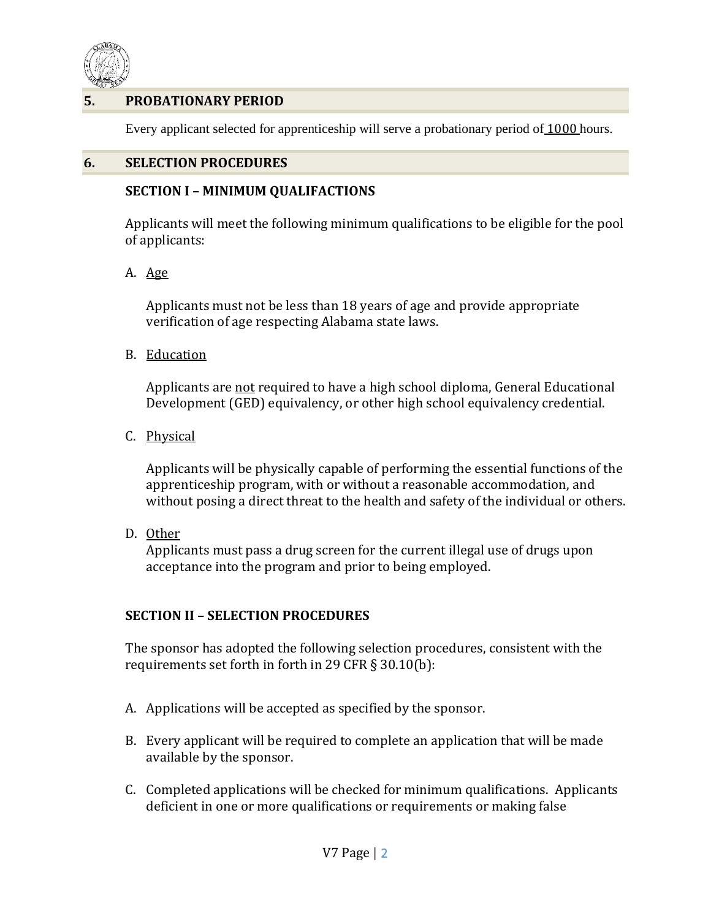

# **5. PROBATIONARY PERIOD**

Every applicant selected for apprenticeship will serve a probationary period of 1000 hours.

#### **6. SELECTION PROCEDURES**

#### **SECTION I – MINIMUM QUALIFACTIONS**

Applicants will meet the following minimum qualifications to be eligible for the pool of applicants:

A. Age

Applicants must not be less than 18 years of age and provide appropriate verification of age respecting Alabama state laws.

B. Education

Applicants are not required to have a high school diploma, General Educational Development (GED) equivalency, or other high school equivalency credential.

C. Physical

Applicants will be physically capable of performing the essential functions of the apprenticeship program, with or without a reasonable accommodation, and without posing a direct threat to the health and safety of the individual or others.

D. Other

Applicants must pass a drug screen for the current illegal use of drugs upon acceptance into the program and prior to being employed.

# **SECTION II – SELECTION PROCEDURES**

The sponsor has adopted the following selection procedures, consistent with the requirements set forth in forth in 29 CFR § 30.10(b):

- A. Applications will be accepted as specified by the sponsor.
- B. Every applicant will be required to complete an application that will be made available by the sponsor.
- C. Completed applications will be checked for minimum qualifications. Applicants deficient in one or more qualifications or requirements or making false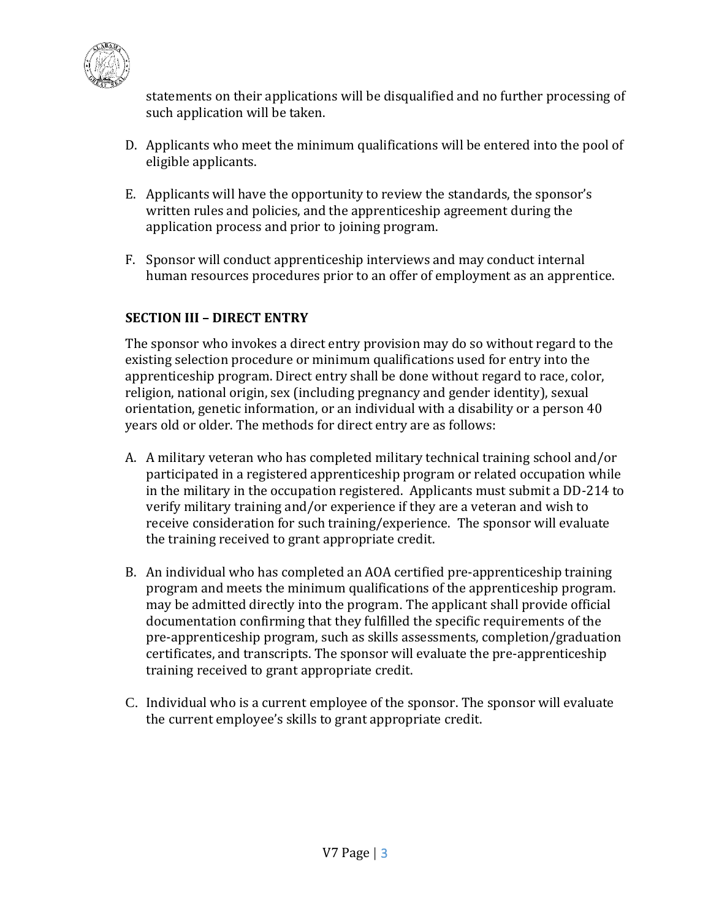

statements on their applications will be disqualified and no further processing of such application will be taken.

- D. Applicants who meet the minimum qualifications will be entered into the pool of eligible applicants.
- E. Applicants will have the opportunity to review the standards, the sponsor's written rules and policies, and the apprenticeship agreement during the application process and prior to joining program.
- F. Sponsor will conduct apprenticeship interviews and may conduct internal human resources procedures prior to an offer of employment as an apprentice.

# **SECTION III – DIRECT ENTRY**

The sponsor who invokes a direct entry provision may do so without regard to the existing selection procedure or minimum qualifications used for entry into the apprenticeship program. Direct entry shall be done without regard to race, color, religion, national origin, sex (including pregnancy and gender identity), sexual orientation, genetic information, or an individual with a disability or a person 40 years old or older. The methods for direct entry are as follows:

- A. A military veteran who has completed military technical training school and/or participated in a registered apprenticeship program or related occupation while in the military in the occupation registered. Applicants must submit a DD-214 to verify military training and/or experience if they are a veteran and wish to receive consideration for such training/experience. The sponsor will evaluate the training received to grant appropriate credit.
- B. An individual who has completed an AOA certified pre-apprenticeship training program and meets the minimum qualifications of the apprenticeship program. may be admitted directly into the program. The applicant shall provide official documentation confirming that they fulfilled the specific requirements of the pre-apprenticeship program, such as skills assessments, completion/graduation certificates, and transcripts. The sponsor will evaluate the pre-apprenticeship training received to grant appropriate credit.
- C. Individual who is a current employee of the sponsor. The sponsor will evaluate the current employee's skills to grant appropriate credit.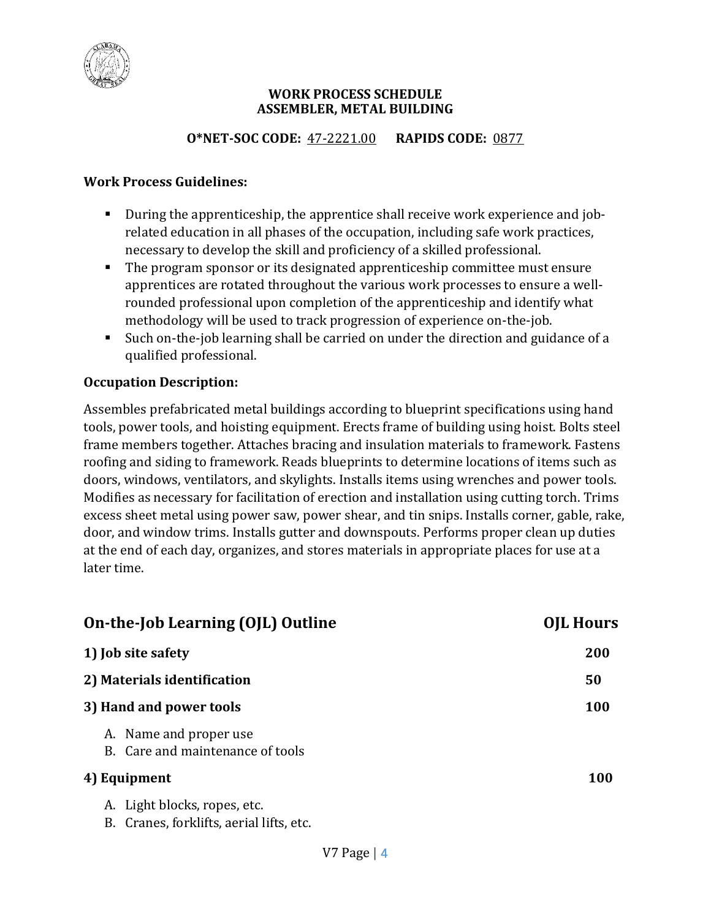

#### **WORK PROCESS SCHEDULE ASSEMBLER, METAL BUILDING**

# **O\*NET-SOC CODE:** 47-2221.00 **RAPIDS CODE:** 0877

#### **Work Process Guidelines:**

- During the apprenticeship, the apprentice shall receive work experience and jobrelated education in all phases of the occupation, including safe work practices, necessary to develop the skill and proficiency of a skilled professional.
- The program sponsor or its designated apprenticeship committee must ensure apprentices are rotated throughout the various work processes to ensure a wellrounded professional upon completion of the apprenticeship and identify what methodology will be used to track progression of experience on-the-job.
- Such on-the-job learning shall be carried on under the direction and guidance of a qualified professional.

# **Occupation Description:**

Assembles prefabricated metal buildings according to blueprint specifications using hand tools, power tools, and hoisting equipment. Erects frame of building using hoist. Bolts steel frame members together. Attaches bracing and insulation materials to framework. Fastens roofing and siding to framework. Reads blueprints to determine locations of items such as doors, windows, ventilators, and skylights. Installs items using wrenches and power tools. Modifies as necessary for facilitation of erection and installation using cutting torch. Trims excess sheet metal using power saw, power shear, and tin snips. Installs corner, gable, rake, door, and window trims. Installs gutter and downspouts. Performs proper clean up duties at the end of each day, organizes, and stores materials in appropriate places for use at a later time.

| On-the-Job Learning (OJL) Outline                                           | <b>OJL Hours</b> |
|-----------------------------------------------------------------------------|------------------|
| 1) Job site safety                                                          | 200              |
| 2) Materials identification                                                 | 50               |
| 3) Hand and power tools                                                     | <b>100</b>       |
| A. Name and proper use<br>B. Care and maintenance of tools                  |                  |
| 4) Equipment                                                                | <b>100</b>       |
| A. Light blocks, ropes, etc.<br>Cranes, forklifts, aerial lifts, etc.<br>В. |                  |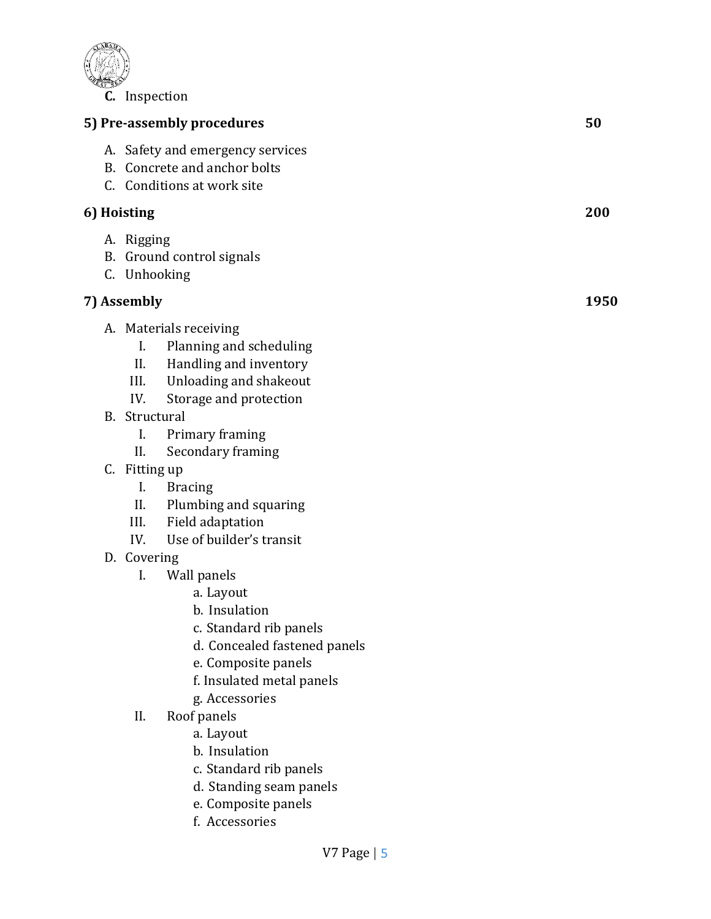

|             | mopecuon                                               |                                                                                                                                                                         |      |
|-------------|--------------------------------------------------------|-------------------------------------------------------------------------------------------------------------------------------------------------------------------------|------|
|             |                                                        | 5) Pre-assembly procedures                                                                                                                                              | 50   |
|             |                                                        | A. Safety and emergency services<br>B. Concrete and anchor bolts<br>C. Conditions at work site                                                                          |      |
| 6) Hoisting |                                                        | 200                                                                                                                                                                     |      |
|             | A. Rigging<br>C. Unhooking                             | B. Ground control signals                                                                                                                                               |      |
|             | 7) Assembly                                            |                                                                                                                                                                         | 1950 |
|             | I.<br>II.<br>III.<br>IV.<br>B. Structural<br>I.<br>II. | A. Materials receiving<br>Planning and scheduling<br>Handling and inventory<br>Unloading and shakeout<br>Storage and protection<br>Primary framing<br>Secondary framing |      |
|             |                                                        |                                                                                                                                                                         |      |

- C. Fitting up
	- I. Bracing
	- II. Plumbing and squaring
	- III. Field adaptation
	- IV. Use of builder's transit
- D. Covering
	- I. Wall panels
		- a. Layout
		- b. Insulation
		- c. Standard rib panels
		- d. Concealed fastened panels
		- e. Composite panels
		- f. Insulated metal panels
		- g. Accessories
	- II. Roof panels
		- a. Layout
		- b. Insulation
		- c. Standard rib panels
		- d. Standing seam panels
		- e. Composite panels
		- f. Accessories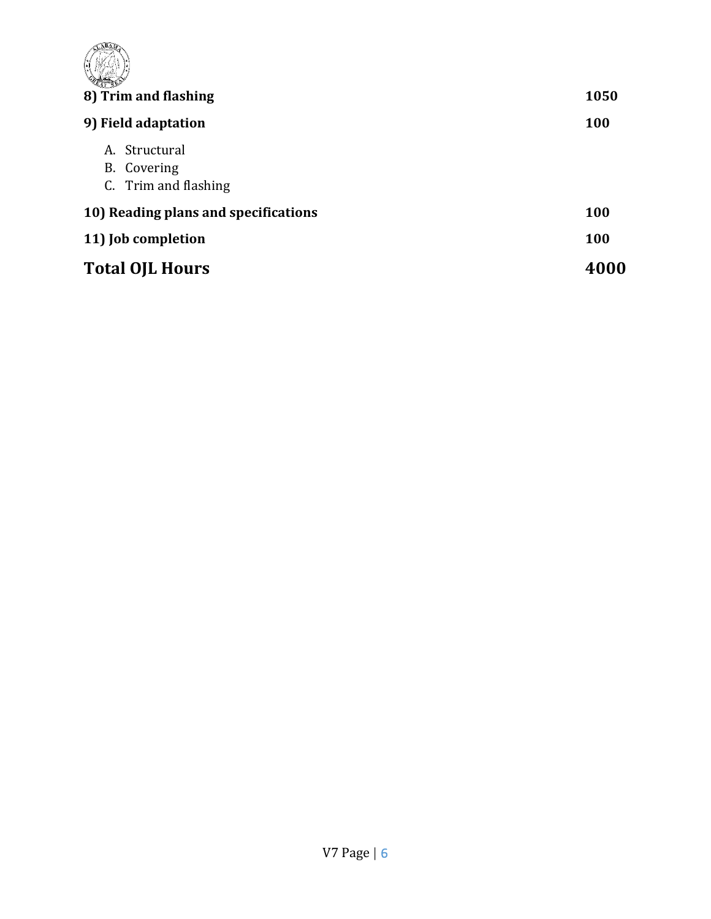| 8) Trim and flashing                                 | 1050       |
|------------------------------------------------------|------------|
| 9) Field adaptation                                  | 100        |
| A. Structural<br>B. Covering<br>C. Trim and flashing |            |
| 10) Reading plans and specifications                 | <b>100</b> |
| 11) Job completion                                   | 100        |
| <b>Total OJL Hours</b>                               | 4000       |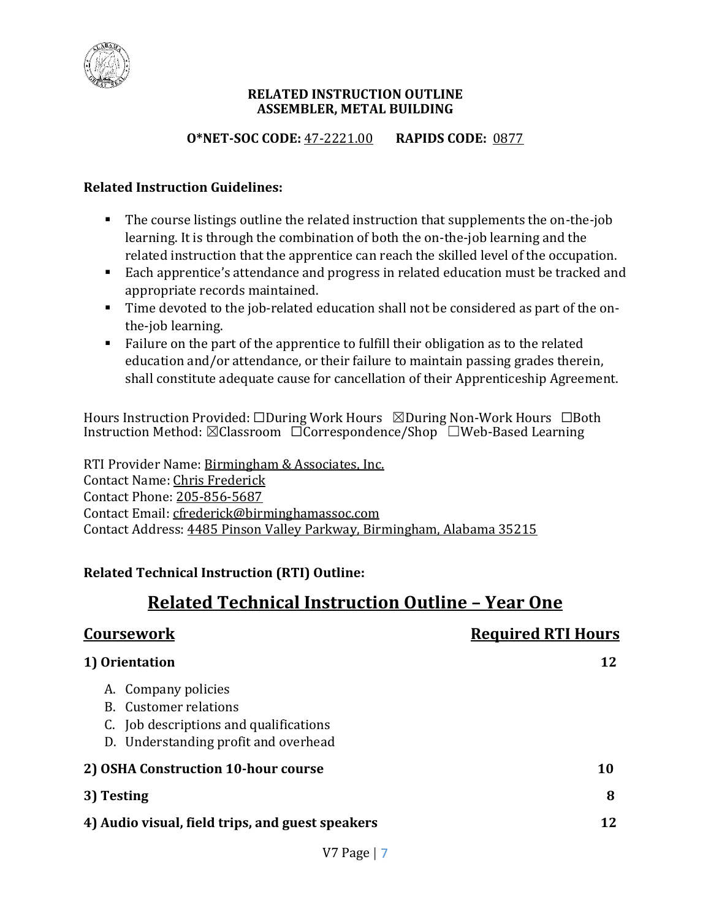

#### **RELATED INSTRUCTION OUTLINE ASSEMBLER, METAL BUILDING**

# **O\*NET-SOC CODE:** 47-2221.00 **RAPIDS CODE:** 0877

## **Related Instruction Guidelines:**

- The course listings outline the related instruction that supplements the on-the-job learning. It is through the combination of both the on-the-job learning and the related instruction that the apprentice can reach the skilled level of the occupation.
- Each apprentice's attendance and progress in related education must be tracked and appropriate records maintained.
- Time devoted to the job-related education shall not be considered as part of the onthe-job learning.
- Failure on the part of the apprentice to fulfill their obligation as to the related education and/or attendance, or their failure to maintain passing grades therein, shall constitute adequate cause for cancellation of their Apprenticeship Agreement.

Hours Instruction Provided: □During Work Hours ⊠During Non-Work Hours □Both Instruction Method: ☒Classroom ☐Correspondence/Shop ☐Web-Based Learning

RTI Provider Name: Birmingham & Associates, Inc. Contact Name: Chris Frederick Contact Phone: 205-856-5687 Contact Email: cfrederick@birminghamassoc.com Contact Address: 4485 Pinson Valley Parkway, Birmingham, Alabama 35215

# **Related Technical Instruction (RTI) Outline:**

# **Related Technical Instruction Outline – Year One**

| <b>Coursework</b>                                                                                                                     | <b>Required RTI Hours</b> |
|---------------------------------------------------------------------------------------------------------------------------------------|---------------------------|
| 1) Orientation                                                                                                                        | 12                        |
| A. Company policies<br><b>B.</b> Customer relations<br>C. Job descriptions and qualifications<br>D. Understanding profit and overhead |                           |
| 2) OSHA Construction 10-hour course                                                                                                   | 10                        |
| 3) Testing                                                                                                                            | 8                         |
| 4) Audio visual, field trips, and guest speakers                                                                                      | 12 <sub>1</sub>           |
|                                                                                                                                       |                           |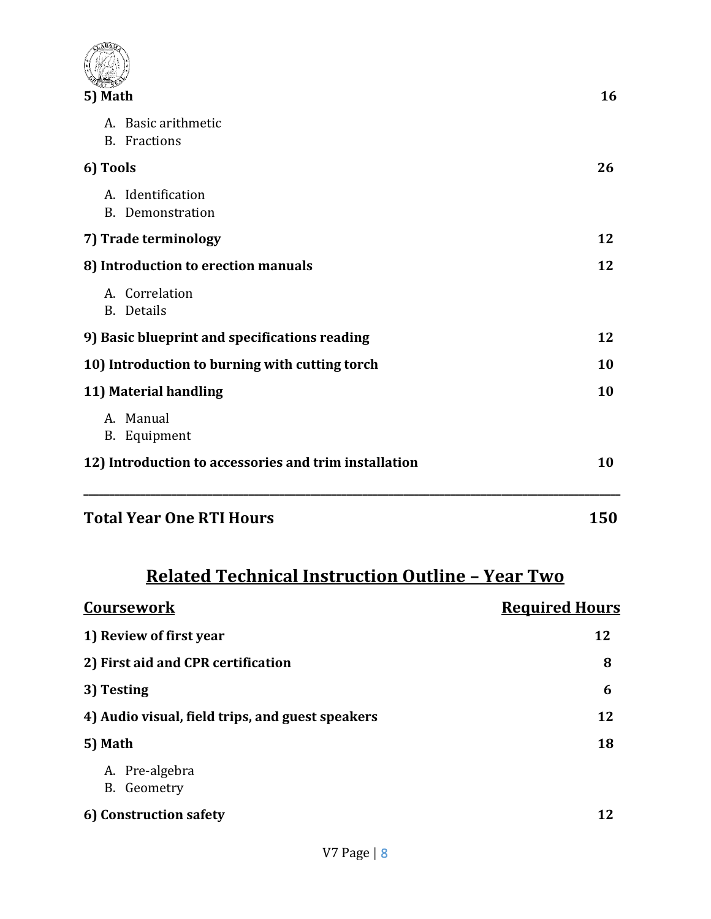| <b>Total Year One RTI Hours</b>                       | 150 |
|-------------------------------------------------------|-----|
| 12) Introduction to accessories and trim installation | 10  |
| A. Manual<br>B. Equipment                             |     |
| 11) Material handling                                 | 10  |
| 10) Introduction to burning with cutting torch        | 10  |
| 9) Basic blueprint and specifications reading         | 12  |
| A. Correlation<br>B. Details                          |     |
| 8) Introduction to erection manuals                   | 12  |
| 7) Trade terminology                                  |     |
| A. Identification<br><b>B.</b> Demonstration          |     |
| 6) Tools                                              |     |
| A. Basic arithmetic<br><b>B.</b> Fractions            | 26  |
| 5) Math                                               | 16  |
|                                                       |     |
|                                                       |     |

# **Related Technical Instruction Outline – Year Two**

| <b>Coursework</b>                                | <b>Required Hours</b> |
|--------------------------------------------------|-----------------------|
| 1) Review of first year                          | 12                    |
| 2) First aid and CPR certification               | 8                     |
| 3) Testing                                       | 6                     |
| 4) Audio visual, field trips, and guest speakers | 12                    |
| 5) Math                                          | 18                    |
| A. Pre-algebra<br>B. Geometry                    |                       |
| 6) Construction safety                           | 12                    |